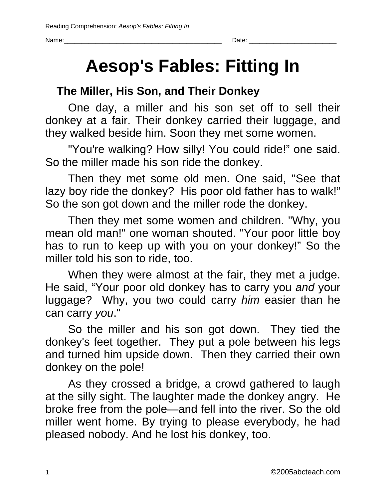## **Aesop's Fables: Fitting In**

### **The Miller, His Son, and Their Donkey**

One day, a miller and his son set off to sell their donkey at a fair. Their donkey carried their luggage, and they walked beside him. Soon they met some women.

"You're walking? How silly! You could ride!" one said. So the miller made his son ride the donkey.

Then they met some old men. One said, "See that lazy boy ride the donkey? His poor old father has to walk!" So the son got down and the miller rode the donkey.

Then they met some women and children. "Why, you mean old man!" one woman shouted. "Your poor little boy has to run to keep up with you on your donkey!" So the miller told his son to ride, too.

When they were almost at the fair, they met a judge. He said, "Your poor old donkey has to carry you *and* your luggage? Why, you two could carry *him* easier than he can carry *you*."

So the miller and his son got down. They tied the donkey's feet together. They put a pole between his legs and turned him upside down. Then they carried their own donkey on the pole!

As they crossed a bridge, a crowd gathered to laugh at the silly sight. The laughter made the donkey angry. He broke free from the pole—and fell into the river. So the old miller went home. By trying to please everybody, he had pleased nobody. And he lost his donkey, too.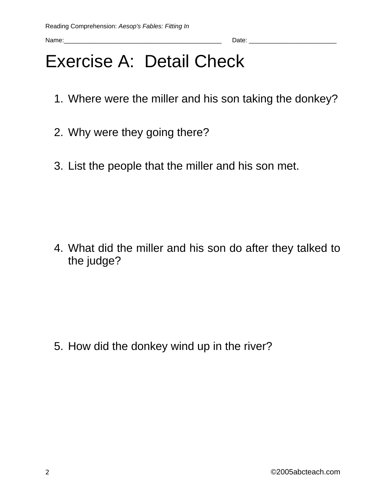## Exercise A: Detail Check

- 1. Where were the miller and his son taking the donkey?
- 2. Why were they going there?
- 3. List the people that the miller and his son met.

4. What did the miller and his son do after they talked to the judge?

5. How did the donkey wind up in the river?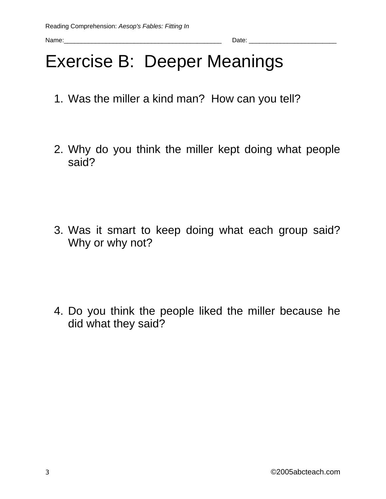## Exercise B: Deeper Meanings

- 1. Was the miller a kind man? How can you tell?
- 2. Why do you think the miller kept doing what people said?

3. Was it smart to keep doing what each group said? Why or why not?

4. Do you think the people liked the miller because he did what they said?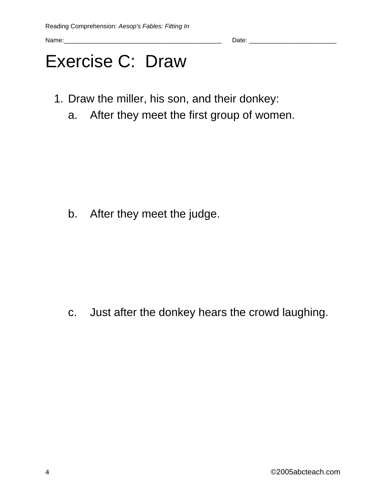## Exercise C: Draw

- 1. Draw the miller, his son, and their donkey:
	- a. After they meet the first group of women.

b. After they meet the judge.

c. Just after the donkey hears the crowd laughing.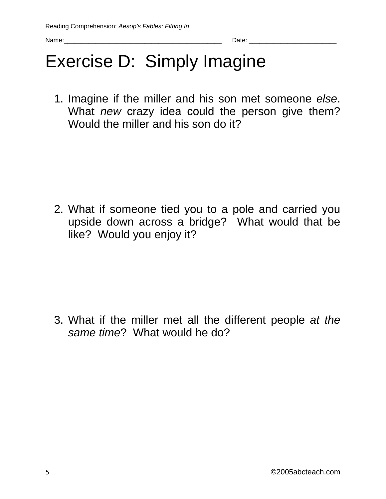## Exercise D: Simply Imagine

1. Imagine if the miller and his son met someone *else*. What *new* crazy idea could the person give them? Would the miller and his son do it?

2. What if someone tied you to a pole and carried you upside down across a bridge? What would that be like? Would you enjoy it?

3. What if the miller met all the different people *at the same time*? What would he do?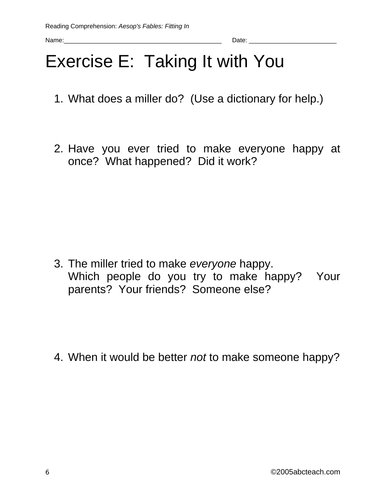# Exercise E: Taking It with You

- 1. What does a miller do? (Use a dictionary for help.)
- 2. Have you ever tried to make everyone happy at once? What happened? Did it work?

3. The miller tried to make *everyone* happy. Which people do you try to make happy? Your parents? Your friends? Someone else?

4. When it would be better *not* to make someone happy?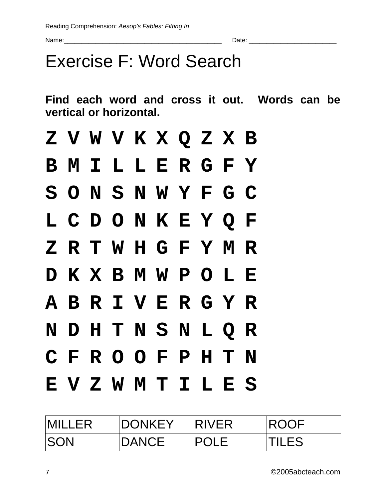## Exercise F: Word Search

**Find each word and cross it out. Words can be vertical or horizontal.** 

|  |  |  |  | Z V W V K X Q Z X B |  |
|--|--|--|--|---------------------|--|
|  |  |  |  | B M I L L E R G F Y |  |
|  |  |  |  | SONSNWYFGC          |  |
|  |  |  |  | L C D O N K E Y Q F |  |
|  |  |  |  | ZRTWHGFYMR          |  |
|  |  |  |  | D K X B M W P O L E |  |
|  |  |  |  | ABRIVERGYR          |  |
|  |  |  |  | NDHTNSNLQR          |  |
|  |  |  |  | CFROOFPHTN          |  |
|  |  |  |  | EVZWMTILES          |  |

| <b>MILLER</b> | <b>DONKEY</b> | <b>IRIVER</b> | <b>IROOF</b> |
|---------------|---------------|---------------|--------------|
| <b>ISON</b>   | <b>DANCE</b>  | <b>POLE</b>   | <b>TILES</b> |